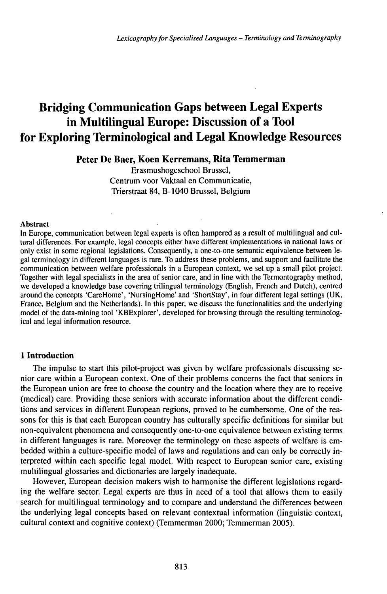# Bridging Communication Gaps between Legal Experts in Multilingual Europe: Discussion of a Tool for Exploring Terminological and Legal Knowledge Resources

## **Peter De Baer, Koen Kerremans, Rita Temmerman**

Erasmushogeschool Brussel, Centrum voor Vaktaal en Communicatie, Trierstraat 84, B-1040 Brussel, Belgium

#### Abstract

In Europe, communication between legal experts is often hampered as a result of multilingual and cultural differences. For example, legal concepts either have different implementations in national laws or only exist in some regional legislations. Consequently, a one-to-one semantic equivalence between legal terminology in different languages is rare. To address these problems, and support and facilitate the communication between welfare professionals in a European context, we set up a small pilot project. Together with legal specialists in the area of senior care, and in line with the Termontography method, we developed a knowledge base covering trilingual terminology (English, French and Dutch), centred around the concepts 'CareHome', 'NursingHome' and 'ShortStay', in four different legal settings (UK, France, Belgium and the Netherlands). In this paper, we discuss the functionalities and the underlying model of the data-mining tool 'KBExplorer', developed for browsing through the resulting terminological and legal information resource.

## **1 Introduction**

The impulse to start this pilot-project was given by welfare professionals discussing senior care within a European context. One of their problems concerns the fact that seniors in the European union are free to choose the country and the location where they are to receive (medical) care. Providing these seniors with accurate information about the different conditions and services in different European regions, proved to be cumbersome. One of the reasons for this is that each European country has culturally specific definitions for similar but non-equivalent phenomena and consequently one-to-one equivalence between existing terms in different languages is rare. Moreover the terminology on these aspects of welfare is embedded within a culture-specific model of laws and regulations and can only be correctly interpreted within each specific legal model. With respect to European senior care, existing multilingual glossaries and dictionaries are largely inadequate.

However, European decision makers wish to harmonise the different legislations regarding the welfare sector. Legal experts are thus in need of a tool that allows them to easily search for multilingual terminology and to compare and understand the differences between the underlying legal concepts based on relevant contextual information (linguistic context, cultural context and cognitive context) (Temmerman 2000; Temmerman 2005).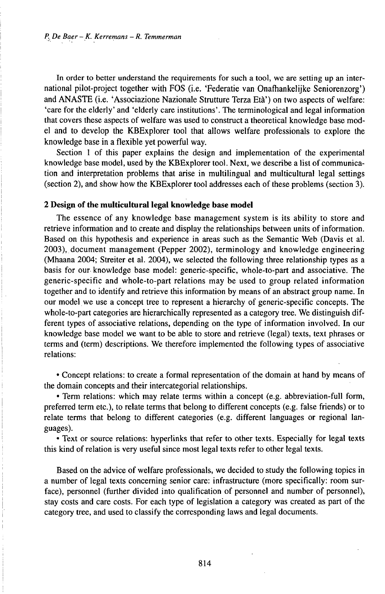In order to better understand the requirements for such a tool, we are setting up an international pilot-project together with FOS (i.e. 'Federatie van Onafhankelijke Seniorenzorg') and ANASTE (i.e. 'Associazione Nazionale Strutture Terza Età') on two aspects of welfare: 'care for the elderly' and 'elderly care institutions'. The terminological and legal information that covers these aspects of welfare was used to construct a theoretical knowledge base model and to develop the KBExplorer tool that allows welfare professionals to explore the knowledge base in a flexible yet powerful way.

Section <sup>1</sup> of this paper explains the design and implementation of the experimental knowledge base model, used by the KBExplorer tool. Next, we describe a list of communication and interpretation problems that arise in multilingual and multicultural legal settings (section 2), and show how the KBExplorer tool addresses each of these problems (section 3).

## **2 Design of the multicultural legal knowledge base model**

The essence of any knowledge base management system is its ability to store and retrieve information and to create and display the relationships between units of information. Based on this hypothesis and experience in areas such as the Semantic Web (Davis et al. 2003), document management (Pepper 2002), terminology and knowledge engineering (Mhaana 2004; Streiter et al. 2004), we selected the following three relationship types as a basis for our knowledge base model: generic-specific, whole-to-part and associative. The generic-specific and whole-to-part relations may be used to group related information together and to identify and retrieve this information by means of an abstract group name. In our modelwe use a concept tree to represent a hierarchy of generic-specific concepts. The whole-to-part categories are hierarchically represented as a category tree. We distinguish different types of associative relations, depending on the type of information involved. In our knowledge base model we want to be able to store and retrieve (legal) texts, text phrases or terms and (term) descriptions. We therefore implemented the following types of associative relations:

• Concept relations: to create a formal representation of the domain at hand by means of the domain concepts and their intercategorial relationships.

• Term relations: which may relate terms within a concept (e.g. abbreviation-full form, preferred term etc.), to relate terms that belong to different concepts (e.g. false friends) or to relate terms that belong to different categories (e.g. different languages or regional languages).

• Text or source relations: hyperlinks that refer to other texts. Especially for legal texts this kind of relation is very useful since most legal texts refer to other legal texts.

Based on the advice of welfare professionals, we decided to study the following topics in a number of legal texts concerning senior care: infrastructure (more specifically: room surface), personnel (further divided into qualification of personnel and number of personnel), stay costs and care costs. For each type of legislation a category was created as part of the category tree, and used to classify the corresponding laws and legal documents.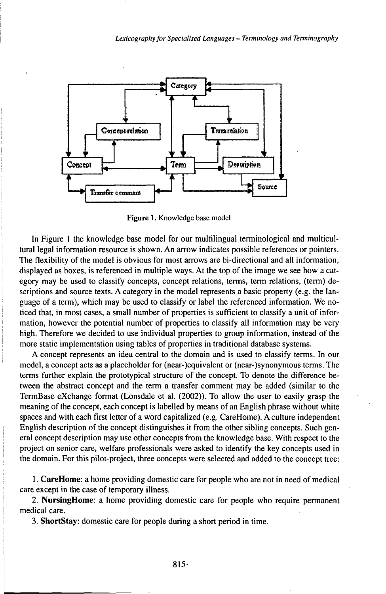

Figure 1. Knowledge base model

In Figure 1 the knowledge base model for our multilingual terminological and multicultural legal information resource is shown. An arrow indicates possible references or pointers. The flexibility of the model is obvious for most arrows are bi-directional and all information, displayed as boxes, is referenced in multiple ways. At the top of the image we see how a category may be used to classify concepts, concept relations, terms, term relations, (term) descriptions and source texts. A category in the model represents a basic property (e.g. the language of a term), which may be used to classify or label the referenced information. We noticed that, in most cases, a small number of properties is sufficient to classify a unit of information, however the potential number of properties to classify all information may be very high. Therefore we decided to use individual properties to group information, instead of the more static implementation using tables of properties in traditional database systems.

A concept represents an idea central to the domain and is used to classify terms. In our model, a concept acts as a placeholder for (near-)equivalent or (near-)synonymous terms. The terms further explain the prototypical structure of the concept. To denote the difference between the abstract concept and the term a transfer comment may be added (similar to the TermBase eXchange format (Lonsdale et al. (2002)). To allow the user to easily grasp the meaning of the concept, each concept is labelled by means of an English phrase without white spaces and with each first letter of a word capitalized (e.g. CareHome). A culture independent English description of the concept distinguishes it from the other sibling concepts. Such general concept description may use other concepts from the knowledge base. With respect to the project on senior care, welfare professionals were asked to identify the key concepts used in the domain. For this pilot-project, three concepts were selected and added to the concept tree:

1. CareHome: a home providing domestic care for people who are not in need of medical care except in the case of temporary illness.

2. NursingHome: a home providing domestic care for people who require permanent medical care.

3. ShortStay: domestic care for people during a short period in time.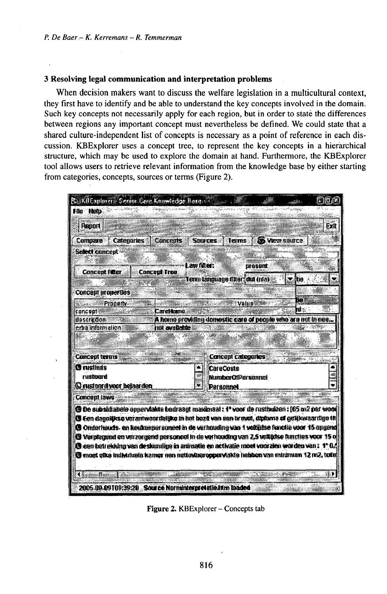#### 3 Resolving legal communication and interpretation problems

When decision makers want to discuss the welfare legislation in a multicultural context, they first have to identify and be able to understand the key concepts involved in the domain. Such key concepts not necessarily apply for each region, but in order to state the differences between regions any important concept must nevertheless be defined. We could state that a shared culture-independent list of concepts is necessary as a point of reference in each discussion. KBExplorer uses a concept tree, to represent the key concepts in a hierarchical structure, which may be used to explore the domain at hand. Furthermore, the KBExplorer tool allows users to retrieve relevant information from the knowledge base by either starting from categories, concepts, sources or terms (Figure 2).

| S. EffEnnlmer: Gerant Con Knowledge Hern. (2)                                                                                                                                                  |                                                              |                               |                      |
|------------------------------------------------------------------------------------------------------------------------------------------------------------------------------------------------|--------------------------------------------------------------|-------------------------------|----------------------|
| <b>File Hetp</b>                                                                                                                                                                               |                                                              |                               |                      |
| Region                                                                                                                                                                                         |                                                              |                               | Exit                 |
| Compare Categories Concepts                                                                                                                                                                    | <b>SCENTES</b>                                               | <b>Jerms</b>                  | <b>B</b> Vera suizce |
| Select concept                                                                                                                                                                                 |                                                              |                               |                      |
|                                                                                                                                                                                                | l aw filier:                                                 | urasunt                       |                      |
| <b>Concant Filter</b>                                                                                                                                                                          | <b>Concert Tree</b>                                          | Term tanguang Maer: est (nia) | Ħп                   |
|                                                                                                                                                                                                |                                                              |                               |                      |
| <b>Concept properties</b>                                                                                                                                                                      |                                                              |                               | 82,                  |
| <b><i>Execute Pronenty</i></b><br>concent                                                                                                                                                      | Carellamu -                                                  | Valua                         | 間密                   |
| idestricoon                                                                                                                                                                                    | A home providing domestic care of people who are not in nee. |                               |                      |
| ertra informalion.                                                                                                                                                                             | <b>hut avoilable</b>                                         |                               |                      |
|                                                                                                                                                                                                |                                                              |                               |                      |
| <b>Concept terms</b>                                                                                                                                                                           |                                                              | Concupt categories            |                      |
| <b>C</b> ustinas                                                                                                                                                                               |                                                              | <b>CaraCosts</b>              |                      |
| rustoard                                                                                                                                                                                       |                                                              | <b>NumberOfPersonnet</b>      |                      |
| <b>Constant divoro betast den</b>                                                                                                                                                              |                                                              | Personnet                     |                      |
| <b>Concept laws</b>                                                                                                                                                                            |                                                              |                               |                      |
| @ De subsidiabele oppervlakte bedraagt maximaal : 1° voor de rustbuizen : [65 m2 per wood                                                                                                      |                                                              |                               |                      |
| (S Cen danaliks o verantwoordeliko in het bezil van een bruwd, diploma of odlikwaardige til<br><b>C Onderhouds, en keukennersoneel in de verinnuling van 1 vokalise functie voor 15 opgend</b> |                                                              |                               |                      |
| <b>@ Verplogsed on verzorgend personned in do verhousing van 2.5 velligise luncties voce 15 o</b>                                                                                              |                                                              |                               |                      |
| <b>O</b> cen betrekking van deskundige in animatie en activatie moet voorzien worden van : 1°0.                                                                                                |                                                              |                               |                      |
| @ most elka individuala kamer son natiovineropperviakie habben van minimum 12 m2, tolki                                                                                                        |                                                              |                               |                      |
|                                                                                                                                                                                                |                                                              |                               |                      |
| ЧH<br>Main                                                                                                                                                                                     |                                                              |                               |                      |
| 2005-09-09109:39:20 Source Norminterpretatio in maded                                                                                                                                          |                                                              |                               |                      |

Figure 2. KBExplorer - Concepts tab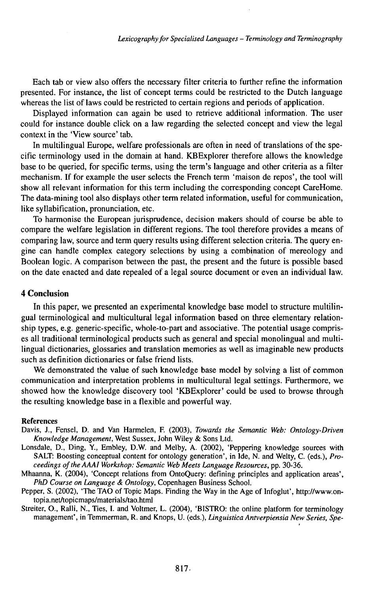Each tab or view also offers the necessary filter criteria to further refine the information presented. For instance, the list of concept terms could be restricted to the Dutch language whereas the list of laws could be restricted to certain regions and periods of application.

Displayed information can again be used to retrieve additional information. The user could for instance double click on a law regarding the selected concept and view the legal context in the 'View source' tab.

In multilingual Europe, welfare professionals are often in need of translations of the specific terminology used in the domain at hand. KBExplorer therefore allows the knowledge base to be queried, for specific terms, using the term's language and other criteria as a filter mechanism. If for example the user selects the French term 'maison de repos', the tool will show all relevant information for this term including the corresponding concept CareHome. The data-mining tool also displays other term related information, useful for communication, like syllabification, pronunciation, etc.

To harmonise the European jurisprudence, decision makers should of course be able to compare the welfare legislation in different regions. The tool therefore provides a means of comparing law, source and term query results using different selection criteria. The query engine can handle complex category selections by using a combination of mereology and Boolean logic. A comparison between the past, the present and the future is possible based on the date enacted and date repealed of a legal source document or even an individual law.

#### **4 Conclusion**

In this paper, we presented an experimental knowledge base model to structure multilingual terminological and multicultural legal information based on three elementary relationship types, e.g. generic-specific, whole-to-part and associative. The potential usage comprises all traditional terminological products such as general and special monolingual and multilingual dictionaries, glossaries and translation memories as well as imaginable new products such as definition dictionaries or false friend lists.

We demonstrated the value of such knowledge base model by solving a list of common communication and interpretation problems in multicultural legal settings. Furthermore, we showed how the knowledge discovery tool 'KBExplorer' could be used to browse through the resulting knowledge base in a flexible and powerful way.

#### References

- Davis, J., Fensel, D. and Van Harmelen, F. (2003), *Towards the Semantic Web: Ontology-Driven Knowledge Management,* West Sussex, John Wiley & Sons Ltd.
- Lonsdale, D., Ding, Y., Embley, D.W. and Melby, A. (2002), 'Peppering knowledge sources with SALT: Boosting conceptual content for ontology generation', in Ide, N. and WeIty, C. (eds.), *Proceedings oftheAAAI Workshop: Semantic Web Meets Language Resources,* pp. 30-36.
- Mhaanna, K. (2004), 'Concept relations from OntoQuery: defining principles and application areas', *PhD Course on Language & Ontology,* Copenhagen Business School.
- Pepper, S. (2002), 'The TAO of Topic Maps. Finding the Way in the Age of Infoglut', http://www.ontopia.net/topicmaps/materials/tao.html
- Streiter, 0., Ralli, N., Ties, I. and Voltmer, L. (2004), 'BISTRO: the online platform for terminology management', in Temmerman, R. and Knops, U. (eds.), *LinguisticaAntverpiensia New Series, Spe-*